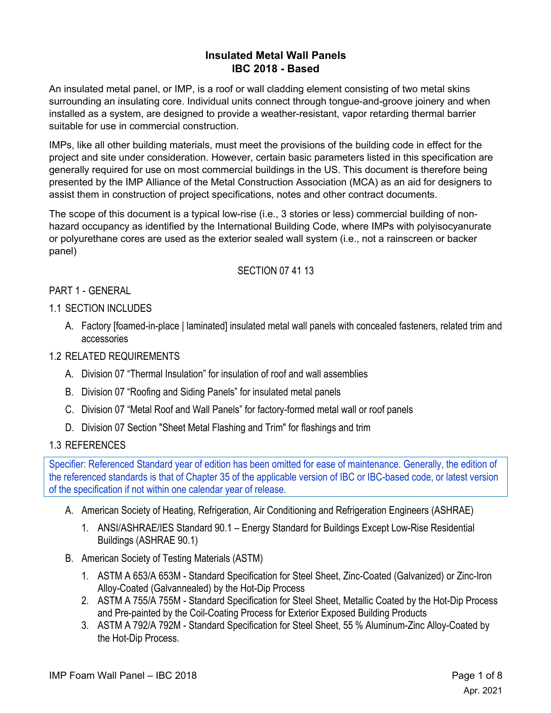# **Insulated Metal Wall Panels IBC 2018 - Based**

An insulated metal panel, or IMP, is a roof or wall cladding element consisting of two metal skins surrounding an insulating core. Individual units connect through tongue-and-groove joinery and when installed as a system, are designed to provide a weather-resistant, vapor retarding thermal barrier suitable for use in commercial construction.

IMPs, like all other building materials, must meet the provisions of the building code in effect for the project and site under consideration. However, certain basic parameters listed in this specification are generally required for use on most commercial buildings in the US. This document is therefore being presented by the IMP Alliance of the Metal Construction Association (MCA) as an aid for designers to assist them in construction of project specifications, notes and other contract documents.

The scope of this document is a typical low-rise (i.e., 3 stories or less) commercial building of nonhazard occupancy as identified by the International Building Code, where IMPs with polyisocyanurate or polyurethane cores are used as the exterior sealed wall system (i.e., not a rainscreen or backer panel)

## SECTION 07 41 13

## PART 1 - GENERAL

## 1.1 SECTION INCLUDES

A. Factory [foamed-in-place | laminated] insulated metal wall panels with concealed fasteners, related trim and accessories

## 1.2 RELATED REQUIREMENTS

- A. Division 07 "Thermal Insulation" for insulation of roof and wall assemblies
- B. Division 07 "Roofing and Siding Panels" for insulated metal panels
- C. Division 07 "Metal Roof and Wall Panels" for factory-formed metal wall or roof panels
- D. Division 07 Section "Sheet Metal Flashing and Trim" for flashings and trim

## 1.3 REFERENCES

Specifier: Referenced Standard year of edition has been omitted for ease of maintenance. Generally, the edition of the referenced standards is that of Chapter 35 of the applicable version of IBC or IBC-based code, or latest version of the specification if not within one calendar year of release.

- A. American Society of Heating, Refrigeration, Air Conditioning and Refrigeration Engineers (ASHRAE)
	- 1. ANSI/ASHRAE/IES Standard 90.1 Energy Standard for Buildings Except Low-Rise Residential Buildings (ASHRAE 90.1)
- B. American Society of Testing Materials (ASTM)
	- 1. ASTM A 653/A 653M Standard Specification for Steel Sheet, Zinc-Coated (Galvanized) or Zinc-Iron Alloy-Coated (Galvannealed) by the Hot-Dip Process
	- 2. ASTM A 755/A 755M Standard Specification for Steel Sheet, Metallic Coated by the Hot-Dip Process and Pre-painted by the Coil-Coating Process for Exterior Exposed Building Products
	- 3. ASTM A 792/A 792M Standard Specification for Steel Sheet, 55 % Aluminum-Zinc Alloy-Coated by the Hot-Dip Process.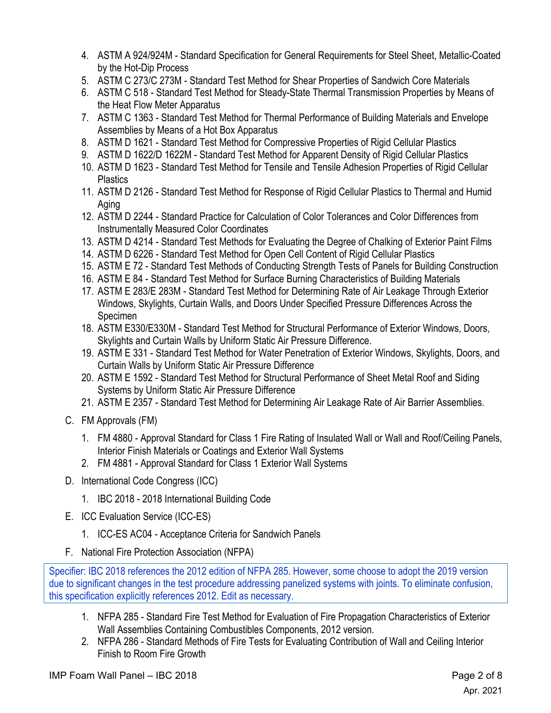- 4. ASTM A 924/924M Standard Specification for General Requirements for Steel Sheet, Metallic-Coated by the Hot-Dip Process
- 5. ASTM C 273/C 273M Standard Test Method for Shear Properties of Sandwich Core Materials
- 6. ASTM C 518 Standard Test Method for Steady-State Thermal Transmission Properties by Means of the Heat Flow Meter Apparatus
- 7. ASTM C 1363 Standard Test Method for Thermal Performance of Building Materials and Envelope Assemblies by Means of a Hot Box Apparatus
- 8. ASTM D 1621 Standard Test Method for Compressive Properties of Rigid Cellular Plastics
- 9. ASTM D 1622/D 1622M Standard Test Method for Apparent Density of Rigid Cellular Plastics
- 10. ASTM D 1623 Standard Test Method for Tensile and Tensile Adhesion Properties of Rigid Cellular **Plastics**
- 11. ASTM D 2126 Standard Test Method for Response of Rigid Cellular Plastics to Thermal and Humid Aging
- 12. ASTM D 2244 Standard Practice for Calculation of Color Tolerances and Color Differences from Instrumentally Measured Color Coordinates
- 13. ASTM D 4214 Standard Test Methods for Evaluating the Degree of Chalking of Exterior Paint Films
- 14. ASTM D 6226 Standard Test Method for Open Cell Content of Rigid Cellular Plastics
- 15. ASTM E 72 Standard Test Methods of Conducting Strength Tests of Panels for Building Construction
- 16. ASTM E 84 Standard Test Method for Surface Burning Characteristics of Building Materials
- 17. ASTM E 283/E 283M Standard Test Method for Determining Rate of Air Leakage Through Exterior Windows, Skylights, Curtain Walls, and Doors Under Specified Pressure Differences Across the Specimen
- 18. ASTM E330/E330M Standard Test Method for Structural Performance of Exterior Windows, Doors, Skylights and Curtain Walls by Uniform Static Air Pressure Difference.
- 19. ASTM E 331 Standard Test Method for Water Penetration of Exterior Windows, Skylights, Doors, and Curtain Walls by Uniform Static Air Pressure Difference
- 20. ASTM E 1592 Standard Test Method for Structural Performance of Sheet Metal Roof and Siding Systems by Uniform Static Air Pressure Difference
- 21. ASTM E 2357 Standard Test Method for Determining Air Leakage Rate of Air Barrier Assemblies.
- C. FM Approvals (FM)
	- 1. FM 4880 Approval Standard for Class 1 Fire Rating of Insulated Wall or Wall and Roof/Ceiling Panels, Interior Finish Materials or Coatings and Exterior Wall Systems
	- 2. FM 4881 Approval Standard for Class 1 Exterior Wall Systems
- D. International Code Congress (ICC)
	- 1. IBC 2018 2018 International Building Code
- E. ICC Evaluation Service (ICC-ES)
	- 1. ICC-ES AC04 Acceptance Criteria for Sandwich Panels
- F. National Fire Protection Association (NFPA)

Specifier: IBC 2018 references the 2012 edition of NFPA 285. However, some choose to adopt the 2019 version due to significant changes in the test procedure addressing panelized systems with joints. To eliminate confusion, this specification explicitly references 2012. Edit as necessary.

- 1. NFPA 285 Standard Fire Test Method for Evaluation of Fire Propagation Characteristics of Exterior Wall Assemblies Containing Combustibles Components, 2012 version.
- 2. NFPA 286 Standard Methods of Fire Tests for Evaluating Contribution of Wall and Ceiling Interior Finish to Room Fire Growth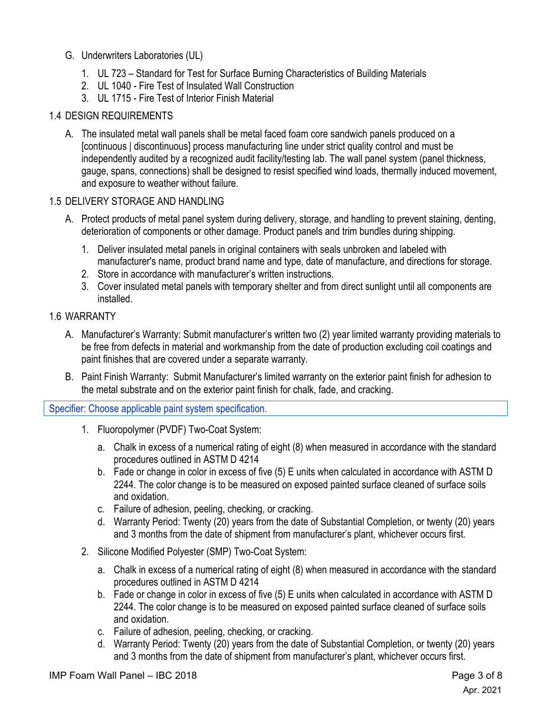- G. Underwriters Laboratories (UL)
	- 1. UL 723 Standard for Test for Surface Burning Characteristics of Building Materials
	- 2. UL 1040 Fire Test of Insulated Wall Construction
	- 3. UL 1715 Fire Test of Interior Finish Material

## 1.4 DESIGN REQUIREMENTS

A. The insulated metal wall panels shall be metal faced foam core sandwich panels produced on a [continuous | discontinuous] process manufacturing line under strict quality control and must be independently audited by a recognized audit facility/testing lab. The wall panel system (panel thickness, gauge, spans, connections) shall be designed to resist specified wind loads, thermally induced movement, and exposure to weather without failure.

## 1.5 DELIVERY STORAGE AND HANDLING

- A. Protect products of metal panel system during delivery, storage, and handling to prevent staining, denting, deterioration of components or other damage. Product panels and trim bundles during shipping.
	- 1. Deliver insulated metal panels in original containers with seals unbroken and labeled with manufacturer's name, product brand name and type, date of manufacture, and directions for storage.
	- 2. Store in accordance with manufacturer's written instructions.
	- 3. Cover insulated metal panels with temporary shelter and from direct sunlight until all components are installed.

#### 1.6 WARRANTY

- A. Manufacturer's Warranty: Submit manufacturer's written two (2) year limited warranty providing materials to be free from defects in material and workmanship from the date of production excluding coil coatings and paint finishes that are covered under a separate warranty.
- B. Paint Finish Warranty: Submit Manufacturer's limited warranty on the exterior paint finish for adhesion to the metal substrate and on the exterior paint finish for chalk, fade, and cracking.

Specifier: Choose applicable paint system specification.

- 1. Fluoropolymer (PVDF) Two-Coat System:
	- a. Chalk in excess of a numerical rating of eight (8) when measured in accordance with the standard procedures outlined in ASTM D 4214
	- b. Fade or change in color in excess of five (5) E units when calculated in accordance with ASTM D 2244. The color change is to be measured on exposed painted surface cleaned of surface soils and oxidation.
	- c. Failure of adhesion, peeling, checking, or cracking.
	- d. Warranty Period: Twenty (20) years from the date of Substantial Completion, or twenty (20) years and 3 months from the date of shipment from manufacturer's plant, whichever occurs first.
- 2. Silicone Modified Polyester (SMP) Two-Coat System:
	- a. Chalk in excess of a numerical rating of eight (8) when measured in accordance with the standard procedures outlined in ASTM D 4214
	- b. Fade or change in color in excess of five (5) E units when calculated in accordance with ASTM D 2244. The color change is to be measured on exposed painted surface cleaned of surface soils and oxidation.
	- c. Failure of adhesion, peeling, checking, or cracking.
	- d. Warranty Period: Twenty (20) years from the date of Substantial Completion, or twenty (20) years and 3 months from the date of shipment from manufacturer's plant, whichever occurs first.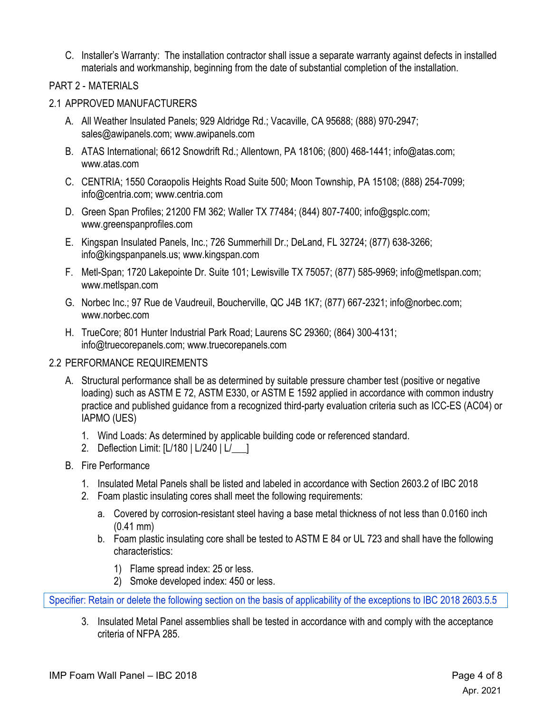C. Installer's Warranty: The installation contractor shall issue a separate warranty against defects in installed materials and workmanship, beginning from the date of substantial completion of the installation.

#### PART 2 - MATERIALS

#### 2.1 APPROVED MANUFACTURERS

- A. All Weather Insulated Panels; 929 Aldridge Rd.; Vacaville, CA 95688; (888) 970-2947; sales@awipanels.com; www.awipanels.com
- B. ATAS International; 6612 Snowdrift Rd.; Allentown, PA 18106; (800) 468-1441; info@atas.com; www.atas.com
- C. CENTRIA; 1550 Coraopolis Heights Road Suite 500; Moon Township, PA 15108; (888) 254-7099; info@centria.com; www.centria.com
- D. Green Span Profiles; 21200 FM 362; Waller TX 77484; (844) 807-7400; info@gsplc.com; www.greenspanprofiles.com
- E. Kingspan Insulated Panels, Inc.; 726 Summerhill Dr.; DeLand, FL 32724; (877) 638-3266; info@kingspanpanels.us; www.kingspan.com
- F. Metl-Span; 1720 Lakepointe Dr. Suite 101; Lewisville TX 75057; (877) 585-9969; info@metlspan.com; www.metlspan.com
- G. Norbec Inc.; 97 Rue de Vaudreuil, Boucherville, QC J4B 1K7; (877) 667-2321; info@norbec.com; www.norbec.com
- H. TrueCore; 801 Hunter Industrial Park Road; Laurens SC 29360; (864) 300-4131; info@truecorepanels.com; www.truecorepanels.com

## 2.2 PERFORMANCE REQUIREMENTS

- A. Structural performance shall be as determined by suitable pressure chamber test (positive or negative loading) such as ASTM E 72, ASTM E330, or ASTM E 1592 applied in accordance with common industry practice and published guidance from a recognized third-party evaluation criteria such as ICC-ES (AC04) or IAPMO (UES)
	- 1. Wind Loads: As determined by applicable building code or referenced standard.
	- 2. Deflection Limit: [L/180 | L/240 | L/\_\_\_]
- B. Fire Performance
	- 1. Insulated Metal Panels shall be listed and labeled in accordance with Section 2603.2 of IBC 2018
	- 2. Foam plastic insulating cores shall meet the following requirements:
		- a. Covered by corrosion-resistant steel having a base metal thickness of not less than 0.0160 inch (0.41 mm)
		- b. Foam plastic insulating core shall be tested to ASTM E 84 or UL 723 and shall have the following characteristics:
			- 1) Flame spread index: 25 or less.
			- 2) Smoke developed index: 450 or less.

Specifier: Retain or delete the following section on the basis of applicability of the exceptions to IBC 2018 2603.5.5

3. Insulated Metal Panel assemblies shall be tested in accordance with and comply with the acceptance criteria of NFPA 285.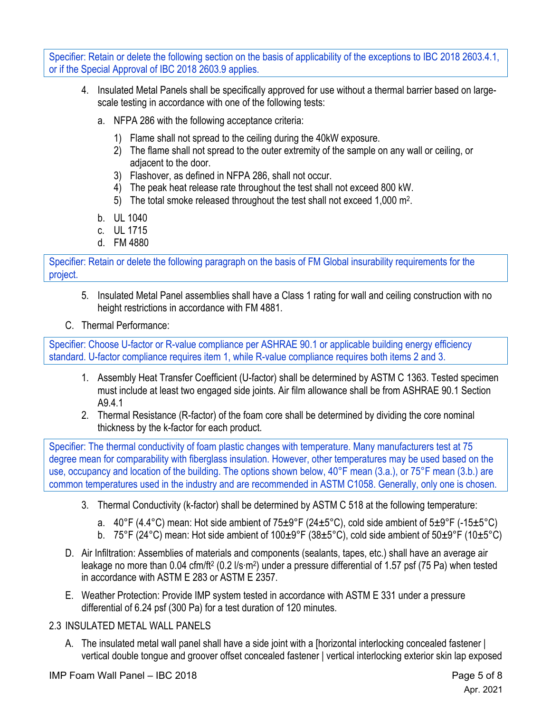Specifier: Retain or delete the following section on the basis of applicability of the exceptions to IBC 2018 2603.4.1, or if the Special Approval of IBC 2018 2603.9 applies.

- 4. Insulated Metal Panels shall be specifically approved for use without a thermal barrier based on largescale testing in accordance with one of the following tests:
	- a. NFPA 286 with the following acceptance criteria:
		- 1) Flame shall not spread to the ceiling during the 40kW exposure.
		- 2) The flame shall not spread to the outer extremity of the sample on any wall or ceiling, or adjacent to the door.
		- 3) Flashover, as defined in NFPA 286, shall not occur.
		- 4) The peak heat release rate throughout the test shall not exceed 800 kW.
		- 5) The total smoke released throughout the test shall not exceed 1,000 m2.
	- b. UL 1040
	- c. UL 1715
	- d. FM 4880

Specifier: Retain or delete the following paragraph on the basis of FM Global insurability requirements for the project.

- 5. Insulated Metal Panel assemblies shall have a Class 1 rating for wall and ceiling construction with no height restrictions in accordance with FM 4881.
- C. Thermal Performance:

Specifier: Choose U-factor or R-value compliance per ASHRAE 90.1 or applicable building energy efficiency standard. U-factor compliance requires item 1, while R-value compliance requires both items 2 and 3.

- 1. Assembly Heat Transfer Coefficient (U-factor) shall be determined by ASTM C 1363. Tested specimen must include at least two engaged side joints. Air film allowance shall be from ASHRAE 90.1 Section A9.4.1
- 2. Thermal Resistance (R-factor) of the foam core shall be determined by dividing the core nominal thickness by the k-factor for each product.

Specifier: The thermal conductivity of foam plastic changes with temperature. Many manufacturers test at 75 degree mean for comparability with fiberglass insulation. However, other temperatures may be used based on the use, occupancy and location of the building. The options shown below, 40°F mean (3.a.), or 75°F mean (3.b.) are common temperatures used in the industry and are recommended in ASTM C1058. Generally, only one is chosen.

- 3. Thermal Conductivity (k-factor) shall be determined by ASTM C 518 at the following temperature:
	- a. 40°F (4.4°C) mean: Hot side ambient of  $75\pm9^{\circ}$ F (24 $\pm5^{\circ}$ C), cold side ambient of  $5\pm9^{\circ}$ F (-15 $\pm5^{\circ}$ C)
	- b. 75°F (24°C) mean: Hot side ambient of 100±9°F (38±5°C), cold side ambient of 50±9°F (10±5°C)
- D. Air Infiltration: Assemblies of materials and components (sealants, tapes, etc.) shall have an average air leakage no more than 0.04 cfm/ft2 (0.2 l/s·m2) under a pressure differential of 1.57 psf (75 Pa) when tested in accordance with ASTM E 283 or ASTM E 2357.
- E. Weather Protection: Provide IMP system tested in accordance with ASTM E 331 under a pressure differential of 6.24 psf (300 Pa) for a test duration of 120 minutes.

# 2.3 INSULATED METAL WALL PANELS

A. The insulated metal wall panel shall have a side joint with a [horizontal interlocking concealed fastener | vertical double tongue and groover offset concealed fastener | vertical interlocking exterior skin lap exposed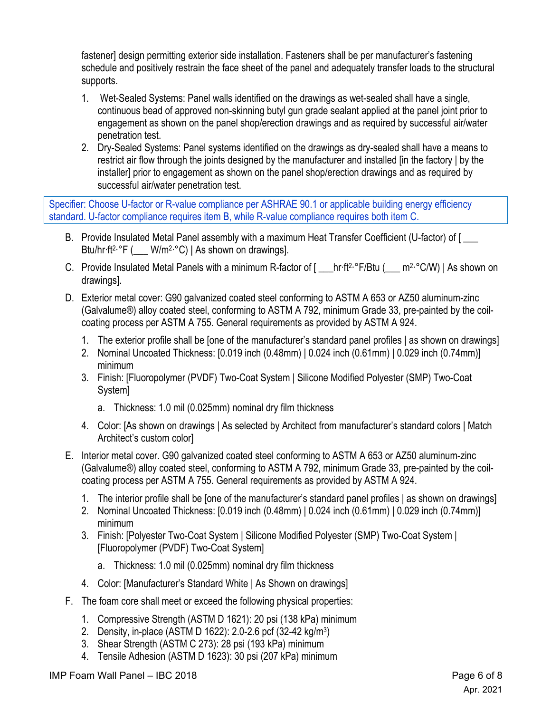fastener] design permitting exterior side installation. Fasteners shall be per manufacturer's fastening schedule and positively restrain the face sheet of the panel and adequately transfer loads to the structural supports.

- 1. Wet-Sealed Systems: Panel walls identified on the drawings as wet-sealed shall have a single, continuous bead of approved non-skinning butyl gun grade sealant applied at the panel joint prior to engagement as shown on the panel shop/erection drawings and as required by successful air/water penetration test.
- 2. Dry-Sealed Systems: Panel systems identified on the drawings as dry-sealed shall have a means to restrict air flow through the joints designed by the manufacturer and installed [in the factory | by the installer] prior to engagement as shown on the panel shop/erection drawings and as required by successful air/water penetration test.

Specifier: Choose U-factor or R-value compliance per ASHRAE 90.1 or applicable building energy efficiency standard. U-factor compliance requires item B, while R-value compliance requires both item C.

- B. Provide Insulated Metal Panel assembly with a maximum Heat Transfer Coefficient (U-factor) of [ Btu/hr·ft<sup>2</sup>·°F ( $W/m^2$ ·°C) | As shown on drawings].
- C. Provide Insulated Metal Panels with a minimum R-factor of [ \_\_\_hr·ft<sup>2</sup>·°F/Btu ( \_\_\_ m<sup>2</sup>·°C/W) | As shown on drawings].
- D. Exterior metal cover: G90 galvanized coated steel conforming to ASTM A 653 or AZ50 aluminum-zinc (Galvalume®) alloy coated steel, conforming to ASTM A 792, minimum Grade 33, pre-painted by the coilcoating process per ASTM A 755. General requirements as provided by ASTM A 924.
	- 1. The exterior profile shall be [one of the manufacturer's standard panel profiles | as shown on drawings]
	- 2. Nominal Uncoated Thickness: [0.019 inch (0.48mm) | 0.024 inch (0.61mm) | 0.029 inch (0.74mm)] minimum
	- 3. Finish: [Fluoropolymer (PVDF) Two-Coat System | Silicone Modified Polyester (SMP) Two-Coat System]
		- a. Thickness: 1.0 mil (0.025mm) nominal dry film thickness
	- 4. Color: [As shown on drawings | As selected by Architect from manufacturer's standard colors | Match Architect's custom color]
- E. Interior metal cover. G90 galvanized coated steel conforming to ASTM A 653 or AZ50 aluminum-zinc (Galvalume®) alloy coated steel, conforming to ASTM A 792, minimum Grade 33, pre-painted by the coilcoating process per ASTM A 755. General requirements as provided by ASTM A 924.
	- 1. The interior profile shall be [one of the manufacturer's standard panel profiles | as shown on drawings]
	- 2. Nominal Uncoated Thickness: [0.019 inch (0.48mm) | 0.024 inch (0.61mm) | 0.029 inch (0.74mm)] minimum
	- 3. Finish: [Polyester Two-Coat System | Silicone Modified Polyester (SMP) Two-Coat System | [Fluoropolymer (PVDF) Two-Coat System]
		- a. Thickness: 1.0 mil (0.025mm) nominal dry film thickness
	- 4. Color: [Manufacturer's Standard White | As Shown on drawings]
- F. The foam core shall meet or exceed the following physical properties:
	- 1. Compressive Strength (ASTM D 1621): 20 psi (138 kPa) minimum
	- 2. Density, in-place (ASTM D 1622): 2.0-2.6 pcf (32-42 kg/m3)
	- 3. Shear Strength (ASTM C 273): 28 psi (193 kPa) minimum
	- 4. Tensile Adhesion (ASTM D 1623): 30 psi (207 kPa) minimum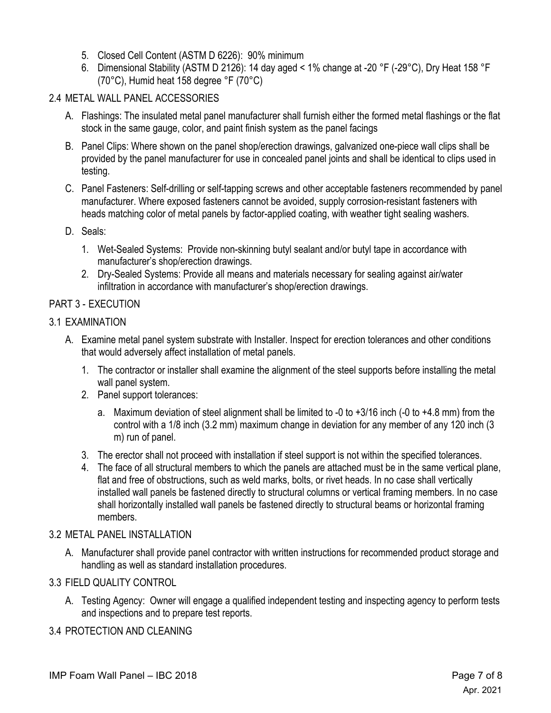- 5. Closed Cell Content (ASTM D 6226): 90% minimum
- 6. Dimensional Stability (ASTM D 2126): 14 day aged < 1% change at -20 °F (-29°C), Dry Heat 158 °F (70°C), Humid heat 158 degree °F (70°C)

# 2.4 METAL WALL PANEL ACCESSORIES

- A. Flashings: The insulated metal panel manufacturer shall furnish either the formed metal flashings or the flat stock in the same gauge, color, and paint finish system as the panel facings
- B. Panel Clips: Where shown on the panel shop/erection drawings, galvanized one-piece wall clips shall be provided by the panel manufacturer for use in concealed panel joints and shall be identical to clips used in testing.
- C. Panel Fasteners: Self-drilling or self-tapping screws and other acceptable fasteners recommended by panel manufacturer. Where exposed fasteners cannot be avoided, supply corrosion-resistant fasteners with heads matching color of metal panels by factor-applied coating, with weather tight sealing washers.
- D. Seals:
	- 1. Wet-Sealed Systems: Provide non-skinning butyl sealant and/or butyl tape in accordance with manufacturer's shop/erection drawings.
	- 2. Dry-Sealed Systems: Provide all means and materials necessary for sealing against air/water infiltration in accordance with manufacturer's shop/erection drawings.

## PART 3 - EXECUTION

- 3.1 EXAMINATION
	- A. Examine metal panel system substrate with Installer. Inspect for erection tolerances and other conditions that would adversely affect installation of metal panels.
		- 1. The contractor or installer shall examine the alignment of the steel supports before installing the metal wall panel system.
		- 2. Panel support tolerances:
			- a. Maximum deviation of steel alignment shall be limited to -0 to +3/16 inch (-0 to +4.8 mm) from the control with a 1/8 inch (3.2 mm) maximum change in deviation for any member of any 120 inch (3 m) run of panel.
		- 3. The erector shall not proceed with installation if steel support is not within the specified tolerances.
		- 4. The face of all structural members to which the panels are attached must be in the same vertical plane, flat and free of obstructions, such as weld marks, bolts, or rivet heads. In no case shall vertically installed wall panels be fastened directly to structural columns or vertical framing members. In no case shall horizontally installed wall panels be fastened directly to structural beams or horizontal framing members.

## 3.2 METAL PANEL INSTALLATION

A. Manufacturer shall provide panel contractor with written instructions for recommended product storage and handling as well as standard installation procedures.

# 3.3 FIELD QUALITY CONTROL

A. Testing Agency: Owner will engage a qualified independent testing and inspecting agency to perform tests and inspections and to prepare test reports.

# 3.4 PROTECTION AND CLEANING